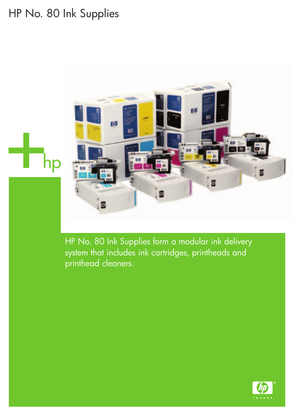# HP No. 80 Ink Supplies



HP No. 80 Ink Supplies form a modular ink delivery system that includes ink cartridges, printheads and printhead cleaners.

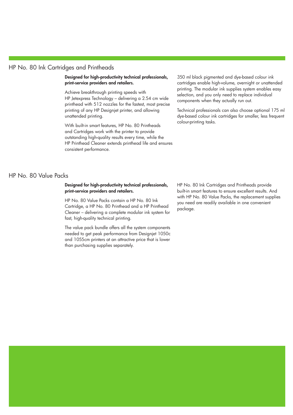#### HP No. 80 Ink Cartridges and Printheads

**Designed for high-productivity technical professionals, print-service providers and retailers.**

Achieve breakthrough printing speeds with HP Jetexpress Technology – delivering a 2.54 cm wide printhead with 512 nozzles for the fastest, most precise printing of any HP Designjet printer, and allowing unattended printing.

With built-in smart features, HP No. 80 Printheads and Cartridges work with the printer to provide outstanding high-quality results every time, while the HP Printhead Cleaner extends printhead life and ensures consistent performance.

350 ml black pigmented and dye-based colour ink cartridges enable high-volume, overnight or unattended printing. The modular ink supplies system enables easy selection, and you only need to replace individual components when they actually run out.

Technical professionals can also choose optional 175 ml dye-based colour ink cartridges for smaller, less frequent colour-printing tasks.

### HP No. 80 Value Packs

#### **Designed for high-productivity technical professionals, print-service providers and retailers.**

HP No. 80 Value Packs contain a HP No. 80 Ink Cartridge, a HP No. 80 Printhead and a HP Printhead Cleaner – delivering a complete modular ink system for fast, high-quality technical printing.

The value pack bundle offers all the system components needed to get peak performance from Designjet 1050c and 1055cm printers at an attractive price that is lower than purchasing supplies separately.

HP No. 80 Ink Cartridges and Printheads provide built-in smart features to ensure excellent results. And with HP No. 80 Value Packs, the replacement supplies you need are readily available in one convenient package.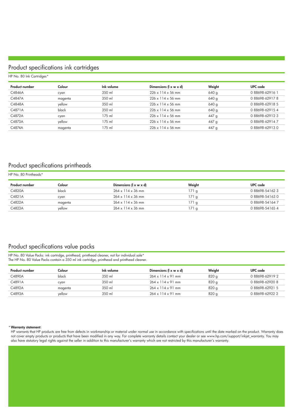# Product specifications ink cartridges

| HP No. 80 Ink Cartridges* |         |            |                                            |        |                 |  |  |  |
|---------------------------|---------|------------|--------------------------------------------|--------|-----------------|--|--|--|
| <b>Product number</b>     | Colour  | Ink volume | Dimensions ( $\vert x \ w \ x \ d \vert$ ) | Weight | UPC code        |  |  |  |
| C4846A                    | cyan    | 350 ml     | $226 \times 114 \times 56$ mm              | 640 g  | 088698-629161   |  |  |  |
| C4847A                    | magenta | 350 ml     | $226 \times 114 \times 56$ mm              | 640 g  | 088698-629178   |  |  |  |
| C4848A                    | vellow  | 350 ml     | $226 \times 114 \times 56$ mm              | 640 g  | 088698-629185   |  |  |  |
| C4871A                    | black   | 350 ml     | $226 \times 114 \times 56$ mm              | 640 g  | 0 88698-62915 4 |  |  |  |
| C4872A                    | cyan    | 175 ml     | $226 \times 114 \times 56$ mm              | 447 q  | 088698-629123   |  |  |  |
| C4873A                    | yellow  | 175 ml     | $226 \times 114 \times 56$ mm              | 447 q  | 088698-629147   |  |  |  |
| C4874A                    | magenta | 175 ml     | $226 \times 114 \times 56$ mm              | 447 q  | 088698-629130   |  |  |  |

# Product specifications printheads

| HP No. 80 Printheads* |         |                                               |        |                 |  |  |  |  |
|-----------------------|---------|-----------------------------------------------|--------|-----------------|--|--|--|--|
| <b>Product number</b> | Colour  | Dimensions ( $\vert x \, w \, x \, d \vert$ ) | Weight | UPC code        |  |  |  |  |
| C4820A                | black   | $264 \times 114 \times 36$ mm                 | 171q   | 0 88698-54162 3 |  |  |  |  |
| C4821A                | cvan    | $264 \times 114 \times 36$ mm                 | 171q   | 088698-541630   |  |  |  |  |
| C4822A                | magenta | $264 \times 114 \times 36$ mm                 | 171q   | 088698-541647   |  |  |  |  |
| C4823A                | vellow  | $264 \times 114 \times 36$ mm                 | 171 a  | 0 88698-54165 4 |  |  |  |  |

# Product specifications value packs

HP No. 80 Value Packs: ink cartridge, printhead, printhead cleaner, not for individual sale\* The HP No. 80 Value Packs contain a 350 ml ink cartridge, printhead and printhead cleaner.

| Product number | Colour  | Ink volume | Dimensions ( $\vert x \, w \, x \, d \vert$ | Weiaht | UPC code        |
|----------------|---------|------------|---------------------------------------------|--------|-----------------|
| C4890A         | black   | 350 ml     | $264 \times 114 \times 91$ mm               | 820 g  | 088698-629192   |
| C4891A         | cyan    | 350 ml     | $264 \times 114 \times 91$ mm               | 820q   | 088698-629208   |
| C4892A         | magenta | 350 ml     | $264 \times 114 \times 91$ mm               | 820 g  | 0 88698-62921 5 |
| C4893A         | vellow  | 350 ml     | $264 \times 114 \times 91$ mm               | 820 g  | 088698-629222   |

#### \***Warranty statement**:

HP warrants that HP products are free from defects in workmanship or material under normal use in accordance with specifications until the date marked on the product. Warranty does not cover empty products or products that have been modified in any way. For complete warranty details contact your dealer or see www.hp.com/support/inkjet\_warranty. You may also have statutory legal rights against the seller in addition to this manufacturer's warranty which are not restricted by this manufacturer's warranty.